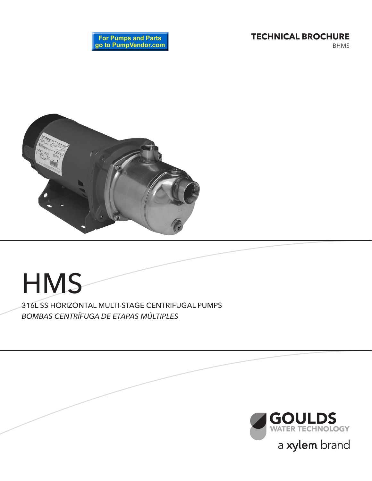**TECHNICAL BROCHURE**

BHMS





# **HMS** 316L SS HORIZONTAL MULTI-STAGE CENTRIFUGAL PUMPS *BOMBAS CENTRÍFUGA DE ETAPAS MÚLTIPLES*

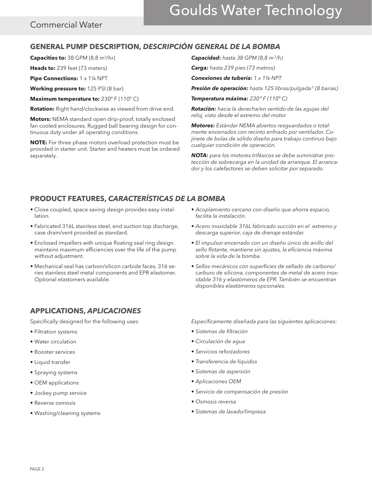# Goulds Water Technology

## Commercial Water

### **GENERAL PUMP DESCRIPTION,** *DESCRIPCIÓN GENERAL DE LA BOMBA*

Capacities to: 38 GPM (8.8 m<sup>3</sup>/hr)

**Heads to:** 239 feet (73 meters)

**Pipe Connections:** 1 x 1 1/4 NPT

**Working pressure to:** 125 PSI (8 bar)

**Maximum temperature to:** 230° F (110° C)

**Rotation:** Right hand/clockwise as viewed from drive end.

**Motors:** NEMA standard open drip-proof, totally enclosed fan cooled enclosures. Rugged ball bearing design for continuous duty under all operating conditions.

**NOTE:** For three phase motors overload protection must be provided in starter unit. Starter and heaters must be ordered separately.

*Capacidad: hasta 38 GPM (8,8 m3/h)*

*Carga: hasta 239 pies (73 metros)*

*Conexiones de tubería: 1 x 1¼ NPT*

*Presión de operación: hasta 125 libras/pulgada 2 (8 barias)*

*Temperatura máxima: 230º F (110º C)*

*Rotación: hacia la derecha/en sentido de las agujas del reloj, visto desde el extremo del motor*

*Motores: Estándar NEMA abiertos resguardados o totalmente encerrados con recinto enfriado por ventilador. Cojinete de bolas de sólido diseño para trabajo continuo bajo cualquier condición de operación.*

*NOTA: para los motores trifásicos se debe suministrar protección de sobrecarga en la unidad de arranque. El arrancador y los calefactores se deben solicitar por separado.*

## **PRODUCT FEATURES,** *CARACTERÍSTICAS DE LA BOMBA*

- Close coupled, space saving design provides easy installation.
- Fabricated 316L stainless steel, end suction top discharge, case drain/vent provided as standard.
- Enclosed impellers with unique floating seal ring design maintains maximum efficiencies over the life of the pump without adjustment.
- Mechanical seal has carbon/silicon carbide faces, 316 series stainless steel metal components and EPR elastomer. Optional elastomers available.

## **APPLICATIONS,** *APLICACIONES*

Specifically designed for the following uses:

- Filtration systems
- Water circulation
- Booster services
- Liquid transfer
- Spraying systems
- OEM applications
- Jockey pump service
- Reverse osmosis
- Washing/cleaning systems
- *Acoplamiento cercano con diseño que ahorra espacio, facilita la instalación.*
- *Acero inoxidable 316L fabricado succión en el extremo y descarga superior, caja de drenaje estándar.*
- *El impulsor encerrado con un diseño único de anillo del sello flotante, mantiene sin ajustes, la eficiencia máxima sobre la vida de la bomba.*
- • Sellos mecánicos con superficies de sellado de carbono/ *carburo de silicona, componentes de metal de acero inoxidable 316 y elastómeros de EPR. También se encuentran disponibles elastómeros opcionales.*

*Específicamente diseñada para las siguientes aplicaciones:*

- • Sistemas de filtración
- • Circulación de agua
- • Servicios reforzadores
- • Transferencia de líquidos
- • Sistemas de aspersión
- • Aplicaciones OEM
- • Servicio de compensación de presión
- • Osmosis reversa
- • Sistemas de lavado/limpieza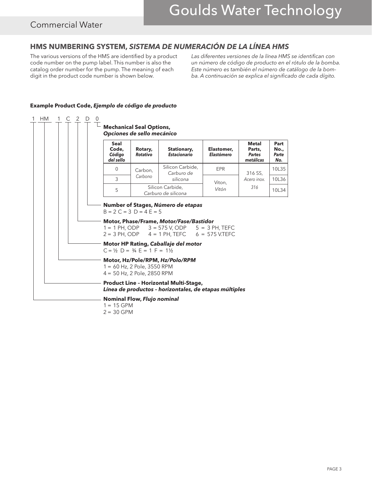## Commercial Water

# **HMS NUMBERING SYSTEM,** *SISTEMA DE NUMERACIÓN DE LA LÍNEA HMS*

The various versions of the HMS are identified by a product code number on the pump label. This number is also the catalog order number for the pump. The meaning of each digit in the product code number is shown below.

Las diferentes versiones de la línea HMS se identifican con *un número de código de producto en el rótulo de la bomba. Este número es también el número de catálogo de la bomba. A continuación se explica el significado de cada dígito.*



#### **Example Product Code,** *Ejemplo de código de producto*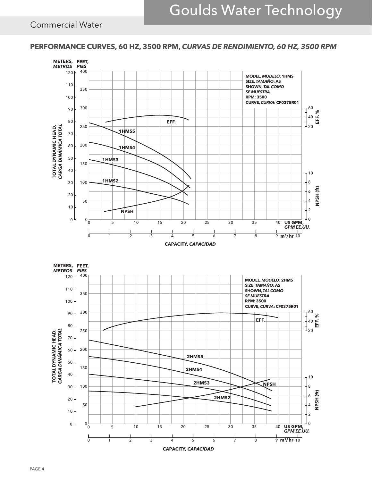### **PERFORMANCE CURVES, 60 HZ, 3500 RPM,** *CURVAS DE RENDIMIENTO, 60 HZ, 3500 RPM*

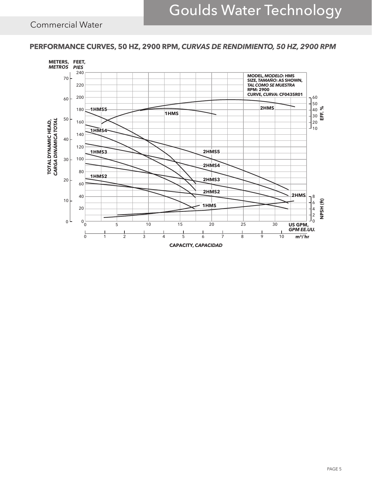**PERFORMANCE CURVES, 50 HZ, 2900 RPM,** *CURVAS DE RENDIMIENTO, 50 HZ, 2900 RPM*



PAGE 5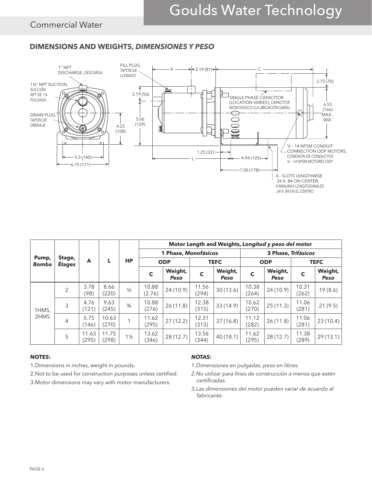### **DIMENSIONS AND WEIGHTS,** *DIMENSIONES Y PESO*



|                       | Stage,<br>Étages | A              | L              | <b>HP</b>      | Motor Length and Weights, Longitud y peso del motor |                 |                |                 |                     |                 |                |                 |
|-----------------------|------------------|----------------|----------------|----------------|-----------------------------------------------------|-----------------|----------------|-----------------|---------------------|-----------------|----------------|-----------------|
| Pump,<br><b>Bomba</b> |                  |                |                |                | 1 Phase, Monofásicos                                |                 |                |                 | 3 Phase, Trifásicos |                 |                |                 |
|                       |                  |                |                |                | <b>ODP</b>                                          |                 | <b>TEFC</b>    |                 | <b>ODP</b>          |                 | <b>TEFC</b>    |                 |
|                       |                  |                |                |                | $\mathbf c$                                         | Weight,<br>Peso | C              | Weight,<br>Peso | C                   | Weight,<br>Peso | C              | Weight,<br>Peso |
| 1HMS,<br>2HMS         | 2                | 3.78<br>(98)   | 8.66<br>(220)  | $\frac{1}{2}$  | 10.88<br>(2.76)                                     | 24 (10.9)       | 11.56<br>(294) | 30(13.6)        | 10.38<br>(264)      | 24(10.9)        | 10.31<br>(262) | 19(8.6)         |
|                       | 3                | 4.76<br>(121)  | 9.63<br>(245)  | $\frac{3}{4}$  | 10.88<br>(276)                                      | 26(11.8)        | 12.38<br>(315) | 33 (14.9)       | 10.62<br>(270)      | 25(11.3)        | 11.06<br>(281) | 21(9.5)         |
|                       | $\overline{4}$   | 5.75<br>(146)  | 10.63<br>(270) |                | 11.62<br>(295)                                      | 27(12.2)        | 12.31<br>(313) | 37(16.8)        | 11.12<br>(282)      | 26(11.8)        | 11.06<br>(281) | 23(10.4)        |
|                       | 5                | 11.63<br>(295) | 11.75<br>(298) | $1\frac{1}{2}$ | 13.62<br>(346)                                      | 28 (12.7)       | 13.56<br>(344) | 40(18.1)        | 11.62<br>(295)      | 28(12.7)        | 11.38<br>(289) | 29(13.1)        |

#### **NOTES:**

1.Dimensions in inches, weight in pounds.

- 2.Not to be used for construction purposes unless certified.
- 3.Motor dimensions may vary with motor manufacturers.

#### *NOTAS:*

*1.Dimensiones en pulgadas, peso en libras.*

- 2. No utilizar para fines de construcción a menos que estén *certificadas.*
- *3.Las dimensiones del motor pueden variar de acuerdo al fabricante.*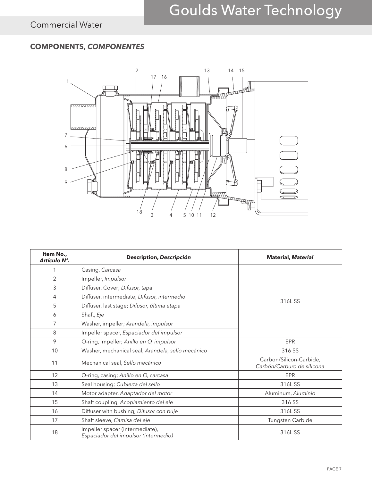# **COMPONENTS,** *COMPONENTES*



| Item No.,<br>Artículo N°. | Description, Descripción                                                | <b>Material, Material</b>                             |  |  |  |
|---------------------------|-------------------------------------------------------------------------|-------------------------------------------------------|--|--|--|
|                           | Casing, Carcasa                                                         | 316LSS                                                |  |  |  |
| $\overline{2}$            | Impeller, Impulsor                                                      |                                                       |  |  |  |
| 3                         | Diffuser, Cover; Difusor, tapa                                          |                                                       |  |  |  |
| 4                         | Diffuser, intermediate; Difusor, intermedio                             |                                                       |  |  |  |
| 5                         | Diffuser, last stage; Difusor, última etapa                             |                                                       |  |  |  |
| 6                         | Shaft, Eje                                                              |                                                       |  |  |  |
| 7                         | Washer, impeller; Arandela, impulsor                                    |                                                       |  |  |  |
| 8                         | Impeller spacer, Espaciador del impulsor                                |                                                       |  |  |  |
| 9                         | O-ring, impeller; Anillo en O, impulsor                                 | EPR                                                   |  |  |  |
| 10                        | Washer, mechanical seal; Arandela, sello mecánico                       | 316 SS                                                |  |  |  |
| 11                        | Mechanical seal, Sello mecánico                                         | Carbon/Silicon-Carbide,<br>Carbón/Carburo de silicona |  |  |  |
| 12                        | O-ring, casing; Anillo en O, carcasa                                    | EPR                                                   |  |  |  |
| 13                        | Seal housing; Cubierta del sello                                        | 316LSS                                                |  |  |  |
| 14                        | Motor adapter, Adaptador del motor                                      | Aluminum, Aluminio                                    |  |  |  |
| 15                        | Shaft coupling, Acoplamiento del eje                                    | 316 SS                                                |  |  |  |
| 16                        | Diffuser with bushing; Difusor con buje                                 | 316L SS                                               |  |  |  |
| 17                        | Shaft sleeve, Camisa del eje                                            | Tungsten Carbide                                      |  |  |  |
| 18                        | Impeller spacer (intermediate),<br>Espaciador del impulsor (intermedio) | 316L SS                                               |  |  |  |